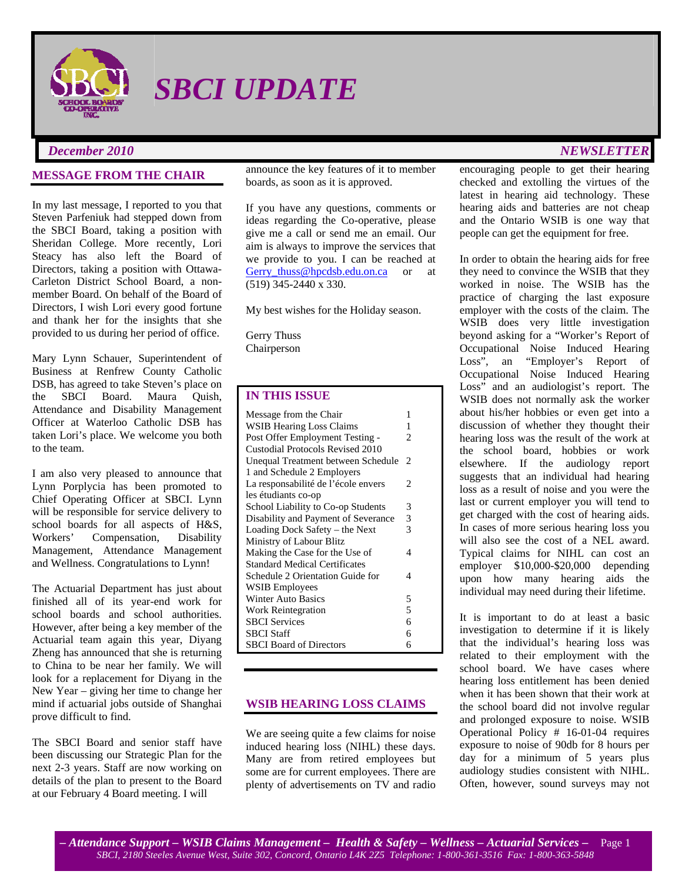

*SBCI UPDATE* 

### **MESSAGE FROM THE CHAIR**

In my last message, I reported to you that Steven Parfeniuk had stepped down from the SBCI Board, taking a position with Sheridan College. More recently, Lori Steacy has also left the Board of Directors, taking a position with Ottawa-Carleton District School Board, a nonmember Board. On behalf of the Board of Directors, I wish Lori every good fortune and thank her for the insights that she provided to us during her period of office.

Mary Lynn Schauer, Superintendent of Business at Renfrew County Catholic DSB, has agreed to take Steven's place on the SBCI Board. Maura Quish, Attendance and Disability Management Officer at Waterloo Catholic DSB has taken Lori's place. We welcome you both to the team.

I am also very pleased to announce that Lynn Porplycia has been promoted to Chief Operating Officer at SBCI. Lynn will be responsible for service delivery to school boards for all aspects of H&S, Workers' Compensation, Disability Management, Attendance Management and Wellness. Congratulations to Lynn!

The Actuarial Department has just about finished all of its year-end work for school boards and school authorities. However, after being a key member of the Actuarial team again this year, Diyang Zheng has announced that she is returning to China to be near her family. We will look for a replacement for Diyang in the New Year – giving her time to change her mind if actuarial jobs outside of Shanghai prove difficult to find.

The SBCI Board and senior staff have been discussing our Strategic Plan for the next 2-3 years. Staff are now working on details of the plan to present to the Board at our February 4 Board meeting. I will

announce the key features of it to member boards, as soon as it is approved.

If you have any questions, comments or ideas regarding the Co-operative, please give me a call or send me an email. Our aim is always to improve the services that we provide to you. I can be reached at [Gerry\\_thuss@hpcdsb.edu.on.ca](mailto:Gerry_thuss@hpcdsb.edu.on.ca) or at (519) 345-2440 x 330.

My best wishes for the Holiday season.

Gerry Thuss Chairperson

# **IN THIS ISSUE**

| Message from the Chair               | 1 |
|--------------------------------------|---|
| <b>WSIB Hearing Loss Claims</b>      | 1 |
| Post Offer Employment Testing -      | 2 |
| Custodial Protocols Revised 2010     |   |
| Unequal Treatment between Schedule   | 2 |
| 1 and Schedule 2 Employers           |   |
| La responsabilité de l'école envers  | 2 |
| les étudiants co-op                  |   |
| School Liability to Co-op Students   | 3 |
| Disability and Payment of Severance  | 3 |
| Loading Dock Safety – the Next       | 3 |
| Ministry of Labour Blitz             |   |
| Making the Case for the Use of       | 4 |
| <b>Standard Medical Certificates</b> |   |
| Schedule 2 Orientation Guide for     | 4 |
| <b>WSIB</b> Employees                |   |
| <b>Winter Auto Basics</b>            | 5 |
| Work Reintegration                   | 5 |
| <b>SBCI</b> Services                 | 6 |
| <b>SBCI</b> Staff                    | 6 |
| <b>SBCI</b> Board of Directors       | 6 |

### **WSIB HEARING LOSS CLAIMS**

We are seeing quite a few claims for noise induced hearing loss (NIHL) these days. Many are from retired employees but some are for current employees. There are plenty of advertisements on TV and radio

# *December 2010 NEWSLETTER*

encouraging people to get their hearing checked and extolling the virtues of the latest in hearing aid technology. These hearing aids and batteries are not cheap and the Ontario WSIB is one way that people can get the equipment for free.

In order to obtain the hearing aids for free they need to convince the WSIB that they worked in noise. The WSIB has the practice of charging the last exposure employer with the costs of the claim. The WSIB does very little investigation beyond asking for a "Worker's Report of Occupational Noise Induced Hearing Loss", an "Employer's Report of Occupational Noise Induced Hearing Loss<sup>"</sup> and an audiologist's report. The WSIB does not normally ask the worker about his/her hobbies or even get into a discussion of whether they thought their hearing loss was the result of the work at the school board, hobbies or work elsewhere. If the audiology report suggests that an individual had hearing loss as a result of noise and you were the last or current employer you will tend to get charged with the cost of hearing aids. In cases of more serious hearing loss you will also see the cost of a NEL award. Typical claims for NIHL can cost an employer \$10,000-\$20,000 depending upon how many hearing aids the individual may need during their lifetime.

It is important to do at least a basic investigation to determine if it is likely that the individual's hearing loss was related to their employment with the school board. We have cases where hearing loss entitlement has been denied when it has been shown that their work at the school board did not involve regular and prolonged exposure to noise. WSIB Operational Policy # 16-01-04 requires exposure to noise of 90db for 8 hours per day for a minimum of 5 years plus audiology studies consistent with NIHL. Often, however, sound surveys may not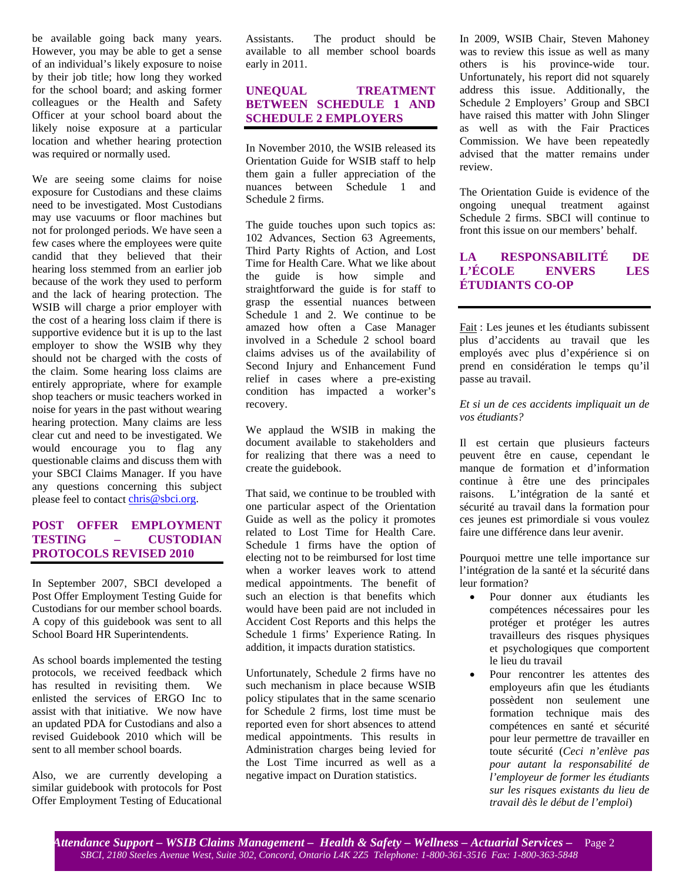be available going back many years. However, you may be able to get a sense of an individual's likely exposure to noise by their job title; how long they worked for the school board; and asking former colleagues or the Health and Safety Officer at your school board about the likely noise exposure at a particular location and whether hearing protection was required or normally used.

We are seeing some claims for noise exposure for Custodians and these claims need to be investigated. Most Custodians may use vacuums or floor machines but not for prolonged periods. We have seen a few cases where the employees were quite candid that they believed that their hearing loss stemmed from an earlier job because of the work they used to perform and the lack of hearing protection. The WSIB will charge a prior employer with the cost of a hearing loss claim if there is supportive evidence but it is up to the last employer to show the WSIB why they should not be charged with the costs of the claim. Some hearing loss claims are entirely appropriate, where for example shop teachers or music teachers worked in noise for years in the past without wearing hearing protection. Many claims are less clear cut and need to be investigated. We would encourage you to flag any questionable claims and discuss them with your SBCI Claims Manager. If you have any questions concerning this subject please feel to contact [chris@sbci.org](mailto:chris@sbci.org).

### **POST OFFER EMPLOYMENT TESTING – CUSTODIAN PROTOCOLS REVISED 2010**

In September 2007, SBCI developed a Post Offer Employment Testing Guide for Custodians for our member school boards. A copy of this guidebook was sent to all School Board HR Superintendents.

As school boards implemented the testing protocols, we received feedback which has resulted in revisiting them. We enlisted the services of ERGO Inc to assist with that initiative. We now have an updated PDA for Custodians and also a revised Guidebook 2010 which will be sent to all member school boards.

Also, we are currently developing a similar guidebook with protocols for Post Offer Employment Testing of Educational Assistants. The product should be available to all member school boards early in 2011.

# **UNEQUAL TREATMENT BETWEEN SCHEDULE 1 AND SCHEDULE 2 EMPLOYERS**

In November 2010, the WSIB released its Orientation Guide for WSIB staff to help them gain a fuller appreciation of the nuances between Schedule 1 and Schedule 2 firms.

The guide touches upon such topics as: 102 Advances, Section 63 Agreements, Third Party Rights of Action, and Lost Time for Health Care. What we like about the guide is how simple and straightforward the guide is for staff to grasp the essential nuances between Schedule 1 and 2. We continue to be amazed how often a Case Manager involved in a Schedule 2 school board claims advises us of the availability of Second Injury and Enhancement Fund relief in cases where a pre-existing condition has impacted a worker's recovery.

We applaud the WSIB in making the document available to stakeholders and for realizing that there was a need to create the guidebook.

That said, we continue to be troubled with one particular aspect of the Orientation Guide as well as the policy it promotes related to Lost Time for Health Care. Schedule 1 firms have the option of electing not to be reimbursed for lost time when a worker leaves work to attend medical appointments. The benefit of such an election is that benefits which would have been paid are not included in Accident Cost Reports and this helps the Schedule 1 firms' Experience Rating. In addition, it impacts duration statistics.

Unfortunately, Schedule 2 firms have no such mechanism in place because WSIB policy stipulates that in the same scenario for Schedule 2 firms, lost time must be reported even for short absences to attend medical appointments. This results in Administration charges being levied for the Lost Time incurred as well as a negative impact on Duration statistics.

In 2009, WSIB Chair, Steven Mahoney was to review this issue as well as many others is his province-wide tour. Unfortunately, his report did not squarely address this issue. Additionally, the Schedule 2 Employers' Group and SBCI have raised this matter with John Slinger as well as with the Fair Practices Commission. We have been repeatedly advised that the matter remains under review.

The Orientation Guide is evidence of the ongoing unequal treatment against Schedule 2 firms. SBCI will continue to front this issue on our members' behalf.

# **LA RESPONSABILITÉ DE L'ÉCOLE ENVERS LES ÉTUDIANTS CO-OP**

Fait : Les jeunes et les étudiants subissent plus d'accidents au travail que les employés avec plus d'expérience si on prend en considération le temps qu'il passe au travail.

### *Et si un de ces accidents impliquait un de vos étudiants?*

Il est certain que plusieurs facteurs peuvent être en cause, cependant le manque de formation et d'information continue à être une des principales raisons. L'intégration de la santé et sécurité au travail dans la formation pour ces jeunes est primordiale si vous voulez faire une différence dans leur avenir.

Pourquoi mettre une telle importance sur l'intégration de la santé et la sécurité dans leur formation?

- Pour donner aux étudiants les compétences nécessaires pour les protéger et protéger les autres travailleurs des risques physiques et psychologiques que comportent le lieu du travail
- Pour rencontrer les attentes des employeurs afin que les étudiants possèdent non seulement une formation technique mais des compétences en santé et sécurité pour leur permettre de travailler en toute sécurité (*Ceci n'enlève pas pour autant la responsabilité de l'employeur de former les étudiants sur les risques existants du lieu de travail dès le début de l'emploi*)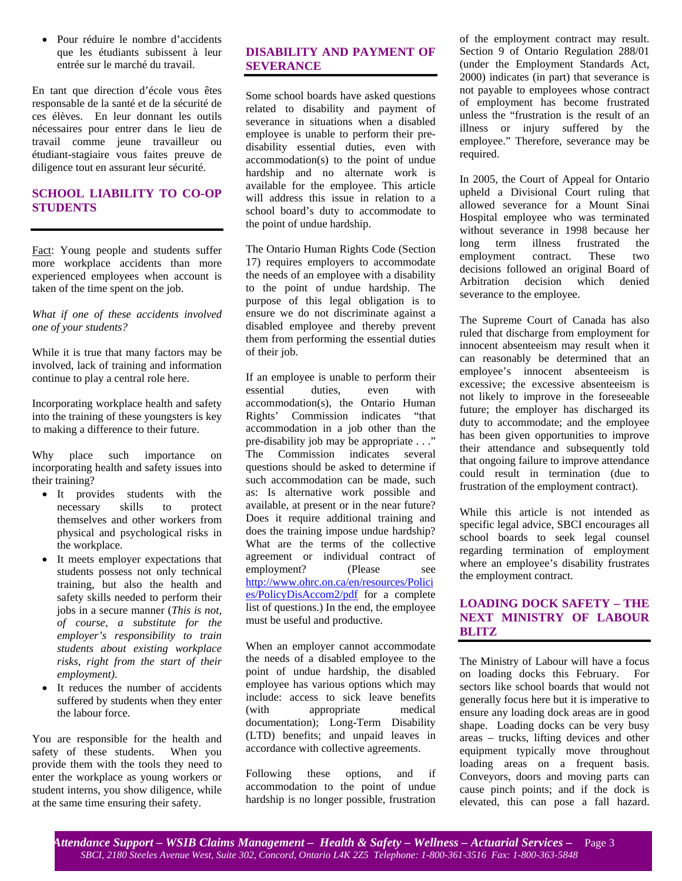• Pour réduire le nombre d'accidents que les étudiants subissent à leur entrée sur le marché du travail.

En tant que direction d'école vous êtes responsable de la santé et de la sécurité de ces élèves. En leur donnant les outils nécessaires pour entrer dans le lieu de travail comme jeune travailleur ou étudiant-stagiaire vous faites preuve de diligence tout en assurant leur sécurité.

# **SCHOOL LIABILITY TO CO-OP STUDENTS**

Fact: Young people and students suffer more workplace accidents than more experienced employees when account is taken of the time spent on the job.

### *What if one of these accidents involved one of your students?*

While it is true that many factors may be involved, lack of training and information continue to play a central role here.

Incorporating workplace health and safety into the training of these youngsters is key to making a difference to their future.

Why place such importance on incorporating health and safety issues into their training?

- It provides students with the necessary skills to protect themselves and other workers from physical and psychological risks in the workplace.
- It meets employer expectations that students possess not only technical training, but also the health and safety skills needed to perform their jobs in a secure manner (*This is not, of course, a substitute for the employer's responsibility to train students about existing workplace risks, right from the start of their employment)*.
- It reduces the number of accidents suffered by students when they enter the labour force.

You are responsible for the health and safety of these students. When you provide them with the tools they need to enter the workplace as young workers or student interns, you show diligence, while at the same time ensuring their safety.

# **DISABILITY AND PAYMENT OF SEVERANCE**

Some school boards have asked questions related to disability and payment of severance in situations when a disabled employee is unable to perform their predisability essential duties, even with accommodation(s) to the point of undue hardship and no alternate work is available for the employee. This article will address this issue in relation to a school board's duty to accommodate to the point of undue hardship.

The Ontario Human Rights Code (Section 17) requires employers to accommodate the needs of an employee with a disability to the point of undue hardship. The purpose of this legal obligation is to ensure we do not discriminate against a disabled employee and thereby prevent them from performing the essential duties of their job.

If an employee is unable to perform their essential duties, even with accommodation(s), the Ontario Human Rights' Commission indicates "that accommodation in a job other than the pre-disability job may be appropriate . . ." The Commission indicates several questions should be asked to determine if such accommodation can be made, such as: Is alternative work possible and available, at present or in the near future? Does it require additional training and does the training impose undue hardship? What are the terms of the collective agreement or individual contract of employment? (Please see [http://www.ohrc.on.ca/en/resources/Polici](http://www.ohrc.on.ca/en/resources/Policies/PolicyDisAccom2/pdf) [es/PolicyDisAccom2/pdf](http://www.ohrc.on.ca/en/resources/Policies/PolicyDisAccom2/pdf) for a complete list of questions.) In the end, the employee must be useful and productive.

When an employer cannot accommodate the needs of a disabled employee to the point of undue hardship, the disabled employee has various options which may include: access to sick leave benefits (with appropriate medical documentation); Long-Term Disability (LTD) benefits; and unpaid leaves in accordance with collective agreements.

Following these options, and if accommodation to the point of undue hardship is no longer possible, frustration of the employment contract may result. Section 9 of Ontario Regulation 288/01 (under the Employment Standards Act, 2000) indicates (in part) that severance is not payable to employees whose contract of employment has become frustrated unless the "frustration is the result of an illness or injury suffered by the employee." Therefore, severance may be required.

In 2005, the Court of Appeal for Ontario upheld a Divisional Court ruling that allowed severance for a Mount Sinai Hospital employee who was terminated without severance in 1998 because her long term illness frustrated the employment contract. These two decisions followed an original Board of Arbitration decision which denied severance to the employee.

The Supreme Court of Canada has also ruled that discharge from employment for innocent absenteeism may result when it can reasonably be determined that an employee's innocent absenteeism is excessive; the excessive absenteeism is not likely to improve in the foreseeable future; the employer has discharged its duty to accommodate; and the employee has been given opportunities to improve their attendance and subsequently told that ongoing failure to improve attendance could result in termination (due to frustration of the employment contract).

While this article is not intended as specific legal advice, SBCI encourages all school boards to seek legal counsel regarding termination of employment where an employee's disability frustrates the employment contract.

# **LOADING DOCK SAFETY – THE NEXT MINISTRY OF LABOUR BLITZ**

The Ministry of Labour will have a focus on loading docks this February. For sectors like school boards that would not generally focus here but it is imperative to ensure any loading dock areas are in good shape. Loading docks can be very busy areas – trucks, lifting devices and other equipment typically move throughout loading areas on a frequent basis. Conveyors, doors and moving parts can cause pinch points; and if the dock is elevated, this can pose a fall hazard.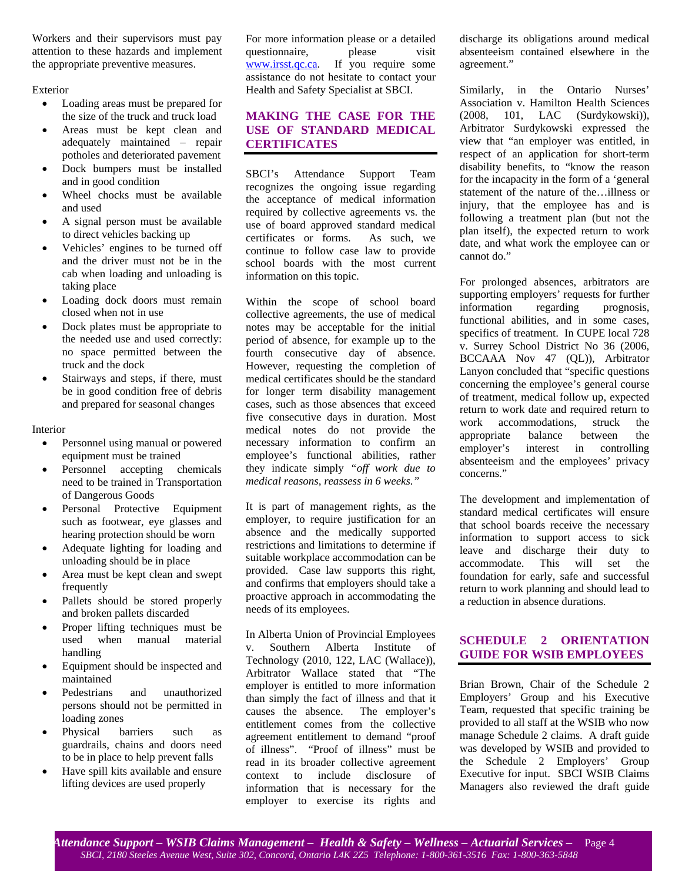Workers and their supervisors must pay attention to these hazards and implement the appropriate preventive measures.

Exterior

- Loading areas must be prepared for the size of the truck and truck load
- Areas must be kept clean and adequately maintained – repair potholes and deteriorated pavement
- Dock bumpers must be installed and in good condition
- Wheel chocks must be available and used
- A signal person must be available to direct vehicles backing up
- Vehicles' engines to be turned off and the driver must not be in the cab when loading and unloading is taking place
- Loading dock doors must remain closed when not in use
- Dock plates must be appropriate to the needed use and used correctly: no space permitted between the truck and the dock
- Stairways and steps, if there, must be in good condition free of debris and prepared for seasonal changes

Interior

- Personnel using manual or powered equipment must be trained
- Personnel accepting chemicals need to be trained in Transportation of Dangerous Goods
- Personal Protective Equipment such as footwear, eye glasses and hearing protection should be worn
- Adequate lighting for loading and unloading should be in place
- Area must be kept clean and swept frequently
- Pallets should be stored properly and broken pallets discarded
- Proper lifting techniques must be used when manual material handling
- Equipment should be inspected and maintained
- Pedestrians and unauthorized persons should not be permitted in loading zones
- Physical barriers such as guardrails, chains and doors need to be in place to help prevent falls
- Have spill kits available and ensure lifting devices are used properly

For more information please or a detailed questionnaire, please visit [www.irsst.qc.ca.](http://www.irsst.qc.ca/) If you require some assistance do not hesitate to contact your Health and Safety Specialist at SBCI.

# **MAKING THE CASE FOR THE USE OF STANDARD MEDICAL CERTIFICATES**

SBCI's Attendance Support Team recognizes the ongoing issue regarding the acceptance of medical information required by collective agreements vs. the use of board approved standard medical certificates or forms. As such, we continue to follow case law to provide school boards with the most current information on this topic.

Within the scope of school board collective agreements, the use of medical notes may be acceptable for the initial period of absence, for example up to the fourth consecutive day of absence. However, requesting the completion of medical certificates should be the standard for longer term disability management cases, such as those absences that exceed five consecutive days in duration. Most medical notes do not provide the necessary information to confirm an employee's functional abilities, rather they indicate simply *"off work due to medical reasons, reassess in 6 weeks."* 

It is part of management rights, as the employer, to require justification for an absence and the medically supported restrictions and limitations to determine if suitable workplace accommodation can be provided. Case law supports this right, and confirms that employers should take a proactive approach in accommodating the needs of its employees.

In Alberta Union of Provincial Employees v. Southern Alberta Institute of Technology (2010, 122, LAC (Wallace)), Arbitrator Wallace stated that "The employer is entitled to more information than simply the fact of illness and that it causes the absence. The employer's entitlement comes from the collective agreement entitlement to demand "proof of illness". "Proof of illness" must be read in its broader collective agreement context to include disclosure of information that is necessary for the employer to exercise its rights and

discharge its obligations around medical absenteeism contained elsewhere in the agreement."

Similarly, in the Ontario Nurses' Association v. Hamilton Health Sciences (2008, 101, LAC (Surdykowski)), Arbitrator Surdykowski expressed the view that "an employer was entitled, in respect of an application for short-term disability benefits, to "know the reason for the incapacity in the form of a 'general statement of the nature of the…illness or injury, that the employee has and is following a treatment plan (but not the plan itself), the expected return to work date, and what work the employee can or cannot do."

For prolonged absences, arbitrators are supporting employers' requests for further information regarding prognosis, functional abilities, and in some cases, specifics of treatment. In CUPE local 728 v. Surrey School District No 36 (2006, BCCAAA Nov 47 (QL)), Arbitrator Lanyon concluded that "specific questions concerning the employee's general course of treatment, medical follow up, expected return to work date and required return to work accommodations, struck the appropriate balance between the employer's interest in controlling absenteeism and the employees' privacy concerns."

The development and implementation of standard medical certificates will ensure that school boards receive the necessary information to support access to sick leave and discharge their duty to accommodate. This will set the foundation for early, safe and successful return to work planning and should lead to a reduction in absence durations.

# **SCHEDULE 2 ORIENTATION GUIDE FOR WSIB EMPLOYEES**

Brian Brown, Chair of the Schedule 2 Employers' Group and his Executive Team, requested that specific training be provided to all staff at the WSIB who now manage Schedule 2 claims. A draft guide was developed by WSIB and provided to the Schedule 2 Employers' Group Executive for input. SBCI WSIB Claims Managers also reviewed the draft guide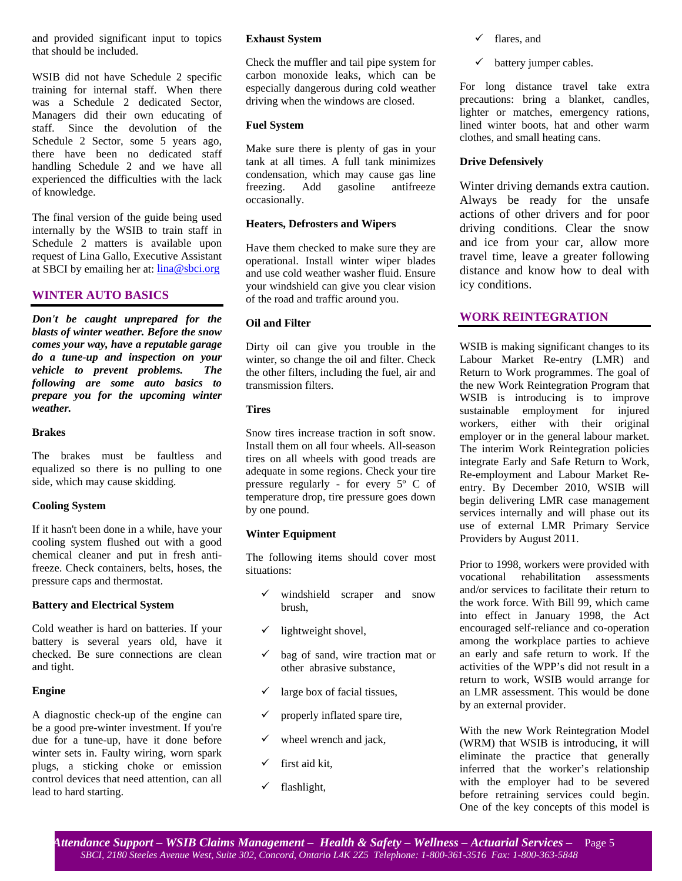and provided significant input to topics that should be included.

WSIB did not have Schedule 2 specific training for internal staff. When there was a Schedule 2 dedicated Sector, Managers did their own educating of staff. Since the devolution of the Schedule 2 Sector, some 5 years ago, there have been no dedicated staff handling Schedule 2 and we have all experienced the difficulties with the lack of knowledge.

The final version of the guide being used internally by the WSIB to train staff in Schedule 2 matters is available upon request of Lina Gallo, Executive Assistant at SBCI by emailing her at:  $\frac{\text{Iina}\textcircled{a}\text{sbci.org}}{}$ 

### **WINTER AUTO BASICS**

*Don't be caught unprepared for the blasts of winter weather. Before the snow comes your way, have a reputable garage do a tune-up and inspection on your vehicle to prevent problems. The following are some auto basics to prepare you for the upcoming winter weather.* 

#### **Brakes**

The brakes must be faultless and equalized so there is no pulling to one side, which may cause skidding.

### **Cooling System**

If it hasn't been done in a while, have your cooling system flushed out with a good chemical cleaner and put in fresh antifreeze. Check containers, belts, hoses, the pressure caps and thermostat.

#### **Battery and Electrical System**

Cold weather is hard on batteries. If your battery is several years old, have it checked. Be sure connections are clean and tight.

### **Engine**

A diagnostic check-up of the engine can be a good pre-winter investment. If you're due for a tune-up, have it done before winter sets in. Faulty wiring, worn spark plugs, a sticking choke or emission control devices that need attention, can all lead to hard starting.

### **Exhaust System**

Check the muffler and tail pipe system for carbon monoxide leaks, which can be especially dangerous during cold weather driving when the windows are closed.

#### **Fuel System**

Make sure there is plenty of gas in your tank at all times. A full tank minimizes condensation, which may cause gas line freezing. Add gasoline antifreeze occasionally.

#### **Heaters, Defrosters and Wipers**

Have them checked to make sure they are operational. Install winter wiper blades and use cold weather washer fluid. Ensure your windshield can give you clear vision of the road and traffic around you.

### **Oil and Filter**

Dirty oil can give you trouble in the winter, so change the oil and filter. Check the other filters, including the fuel, air and transmission filters.

### **Tires**

Snow tires increase traction in soft snow. Install them on all four wheels. All-season tires on all wheels with good treads are adequate in some regions. Check your tire pressure regularly - for every 5º C of temperature drop, tire pressure goes down by one pound.

### **Winter Equipment**

The following items should cover most situations:

- windshield scraper and snow brush,
- lightweight shovel,
- $\checkmark$  bag of sand, wire traction mat or other abrasive substance,
- large box of facial tissues,
- properly inflated spare tire,
- wheel wrench and jack,
- first aid kit,
- flashlight,
- $\checkmark$  flares, and
- battery jumper cables.

For long distance travel take extra precautions: bring a blanket, candles, lighter or matches, emergency rations, lined winter boots, hat and other warm clothes, and small heating cans.

### **Drive Defensively**

Winter driving demands extra caution. Always be ready for the unsafe actions of other drivers and for poor driving conditions. Clear the snow and ice from your car, allow more travel time, leave a greater following distance and know how to deal with icy conditions.

### **WORK REINTEGRATION**

WSIB is making significant changes to its Labour Market Re-entry (LMR) and Return to Work programmes. The goal of the new Work Reintegration Program that WSIB is introducing is to improve sustainable employment for injured workers, either with their original employer or in the general labour market. The interim Work Reintegration policies integrate Early and Safe Return to Work, Re-employment and Labour Market Reentry. By December 2010, WSIB will begin delivering LMR case management services internally and will phase out its use of external LMR Primary Service Providers by August 2011.

Prior to 1998, workers were provided with vocational rehabilitation assessments and/or services to facilitate their return to the work force. With Bill 99, which came into effect in January 1998, the Act encouraged self-reliance and co-operation among the workplace parties to achieve an early and safe return to work. If the activities of the WPP's did not result in a return to work, WSIB would arrange for an LMR assessment. This would be done by an external provider.

With the new Work Reintegration Model (WRM) that WSIB is introducing, it will eliminate the practice that generally inferred that the worker's relationship with the employer had to be severed before retraining services could begin. One of the key concepts of this model is